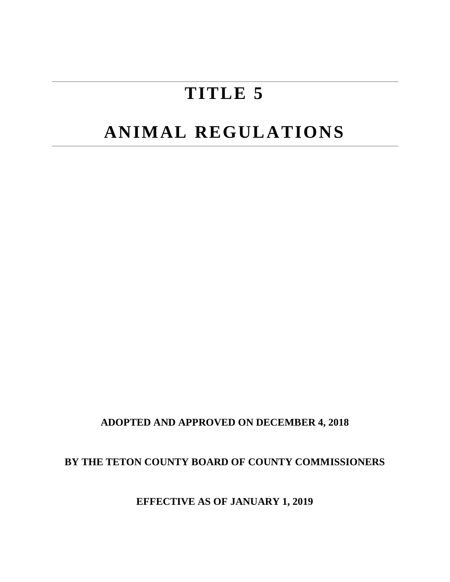# **TITLE 5**

# **ANIMAL REGULATIONS**

**ADOPTED AND APPROVED ON DECEMBER 4, 2018**

**BY THE TETON COUNTY BOARD OF COUNTY COMMISSIONERS**

**EFFECTIVE AS OF JANUARY 1, 2019**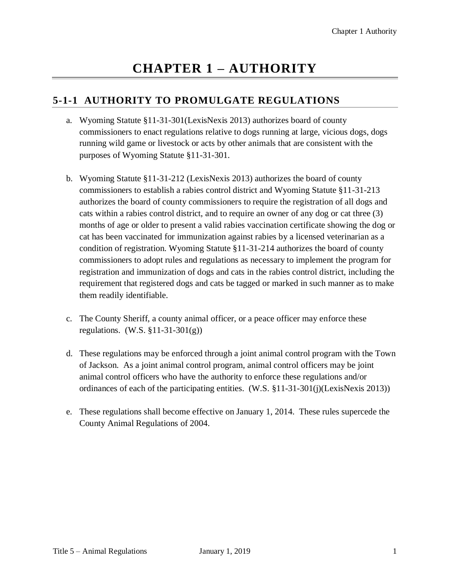# **CHAPTER 1 – AUTHORITY**

#### **5-1-1 AUTHORITY TO PROMULGATE REGULATIONS**

- a. Wyoming Statute §11-31-301(LexisNexis 2013) authorizes board of county commissioners to enact regulations relative to dogs running at large, vicious dogs, dogs running wild game or livestock or acts by other animals that are consistent with the purposes of Wyoming Statute §11-31-301.
- b. Wyoming Statute §11-31-212 (LexisNexis 2013) authorizes the board of county commissioners to establish a rabies control district and Wyoming Statute §11-31-213 authorizes the board of county commissioners to require the registration of all dogs and cats within a rabies control district, and to require an owner of any dog or cat three (3) months of age or older to present a valid rabies vaccination certificate showing the dog or cat has been vaccinated for immunization against rabies by a licensed veterinarian as a condition of registration. Wyoming Statute §11-31-214 authorizes the board of county commissioners to adopt rules and regulations as necessary to implement the program for registration and immunization of dogs and cats in the rabies control district, including the requirement that registered dogs and cats be tagged or marked in such manner as to make them readily identifiable.
- c. The County Sheriff, a county animal officer, or a peace officer may enforce these regulations. (W.S. §11-31-301(g))
- d. These regulations may be enforced through a joint animal control program with the Town of Jackson. As a joint animal control program, animal control officers may be joint animal control officers who have the authority to enforce these regulations and/or ordinances of each of the participating entities. (W.S. §11-31-301(j)(LexisNexis 2013))
- e. These regulations shall become effective on January 1, 2014. These rules supercede the County Animal Regulations of 2004.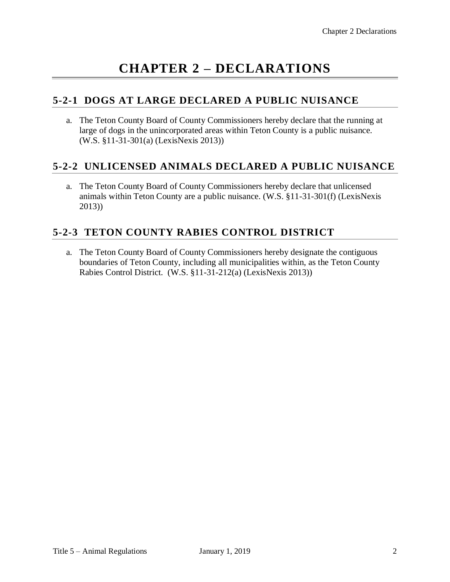# **CHAPTER 2 – DECLARATIONS**

#### **5-2-1 DOGS AT LARGE DECLARED A PUBLIC NUISANCE**

a. The Teton County Board of County Commissioners hereby declare that the running at large of dogs in the unincorporated areas within Teton County is a public nuisance. (W.S. §11-31-301(a) (LexisNexis 2013))

#### **5-2-2 UNLICENSED ANIMALS DECLARED A PUBLIC NUISANCE**

a. The Teton County Board of County Commissioners hereby declare that unlicensed animals within Teton County are a public nuisance. (W.S. §11-31-301(f) (LexisNexis 2013))

### **5-2-3 TETON COUNTY RABIES CONTROL DISTRICT**

a. The Teton County Board of County Commissioners hereby designate the contiguous boundaries of Teton County, including all municipalities within, as the Teton County Rabies Control District. (W.S. §11-31-212(a) (LexisNexis 2013))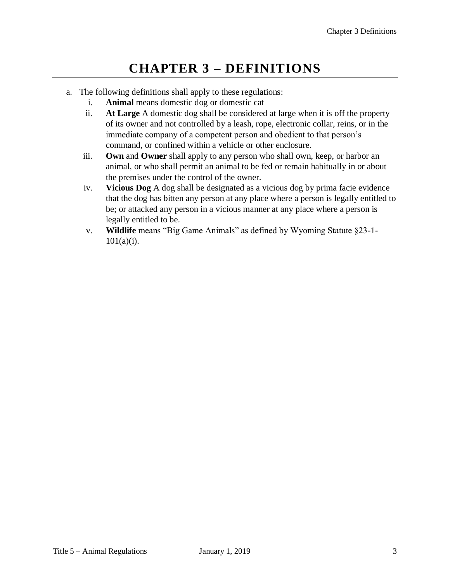### **CHAPTER 3 – DEFINITIONS**

- a. The following definitions shall apply to these regulations:
	- i. **Animal** means domestic dog or domestic cat
	- ii. **At Large** A domestic dog shall be considered at large when it is off the property of its owner and not controlled by a leash, rope, electronic collar, reins, or in the immediate company of a competent person and obedient to that person's command, or confined within a vehicle or other enclosure.
	- iii. **Own** and **Owner** shall apply to any person who shall own, keep, or harbor an animal, or who shall permit an animal to be fed or remain habitually in or about the premises under the control of the owner.
	- iv. **Vicious Dog** A dog shall be designated as a vicious dog by prima facie evidence that the dog has bitten any person at any place where a person is legally entitled to be; or attacked any person in a vicious manner at any place where a person is legally entitled to be.
	- v. **Wildlife** means "Big Game Animals" as defined by Wyoming Statute §23-1- 101(a)(i).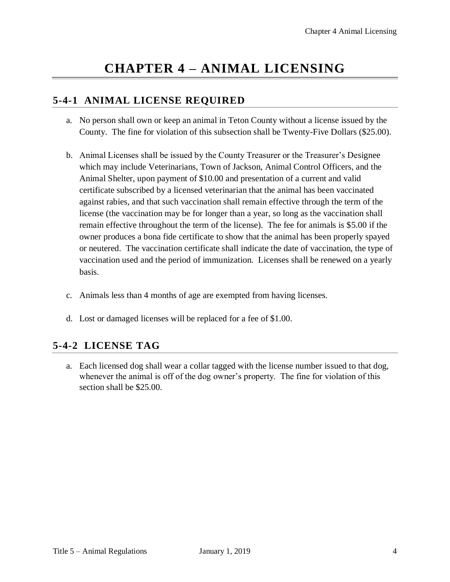# **CHAPTER 4 – ANIMAL LICENSING**

#### **5-4-1 ANIMAL LICENSE REQUIRED**

- a. No person shall own or keep an animal in Teton County without a license issued by the County. The fine for violation of this subsection shall be Twenty-Five Dollars (\$25.00).
- b. Animal Licenses shall be issued by the County Treasurer or the Treasurer's Designee which may include Veterinarians, Town of Jackson, Animal Control Officers, and the Animal Shelter, upon payment of \$10.00 and presentation of a current and valid certificate subscribed by a licensed veterinarian that the animal has been vaccinated against rabies, and that such vaccination shall remain effective through the term of the license (the vaccination may be for longer than a year, so long as the vaccination shall remain effective throughout the term of the license). The fee for animals is \$5.00 if the owner produces a bona fide certificate to show that the animal has been properly spayed or neutered. The vaccination certificate shall indicate the date of vaccination, the type of vaccination used and the period of immunization. Licenses shall be renewed on a yearly basis.
- c. Animals less than 4 months of age are exempted from having licenses.
- d. Lost or damaged licenses will be replaced for a fee of \$1.00.

#### **5-4-2 LICENSE TAG**

a. Each licensed dog shall wear a collar tagged with the license number issued to that dog, whenever the animal is off of the dog owner's property. The fine for violation of this section shall be \$25.00.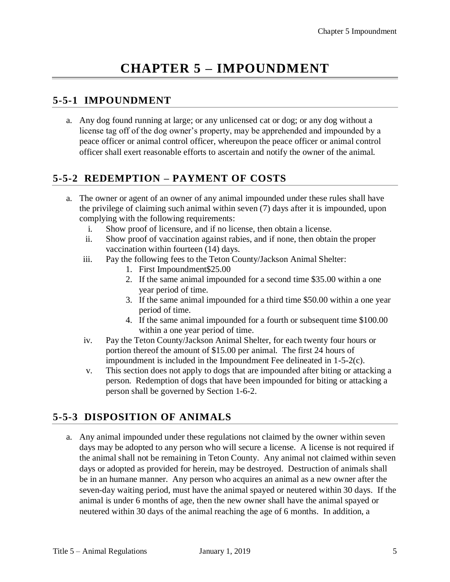# **CHAPTER 5 – IMPOUNDMENT**

#### **5-5-1 IMPOUNDMENT**

a. Any dog found running at large; or any unlicensed cat or dog; or any dog without a license tag off of the dog owner's property, may be apprehended and impounded by a peace officer or animal control officer, whereupon the peace officer or animal control officer shall exert reasonable efforts to ascertain and notify the owner of the animal.

#### **5-5-2 REDEMPTION – PAYMENT OF COSTS**

- a. The owner or agent of an owner of any animal impounded under these rules shall have the privilege of claiming such animal within seven (7) days after it is impounded, upon complying with the following requirements:
	- i. Show proof of licensure, and if no license, then obtain a license.
	- ii. Show proof of vaccination against rabies, and if none, then obtain the proper vaccination within fourteen (14) days.
	- iii. Pay the following fees to the Teton County/Jackson Animal Shelter:
		- 1. First Impoundment\$25.00
		- 2. If the same animal impounded for a second time \$35.00 within a one year period of time.
		- 3. If the same animal impounded for a third time \$50.00 within a one year period of time.
		- 4. If the same animal impounded for a fourth or subsequent time \$100.00 within a one year period of time.
	- iv. Pay the Teton County/Jackson Animal Shelter, for each twenty four hours or portion thereof the amount of \$15.00 per animal. The first 24 hours of impoundment is included in the Impoundment Fee delineated in 1-5-2(c).
	- v. This section does not apply to dogs that are impounded after biting or attacking a person. Redemption of dogs that have been impounded for biting or attacking a person shall be governed by Section 1-6-2.

### **5-5-3 DISPOSITION OF ANIMALS**

a. Any animal impounded under these regulations not claimed by the owner within seven days may be adopted to any person who will secure a license. A license is not required if the animal shall not be remaining in Teton County. Any animal not claimed within seven days or adopted as provided for herein, may be destroyed. Destruction of animals shall be in an humane manner. Any person who acquires an animal as a new owner after the seven-day waiting period, must have the animal spayed or neutered within 30 days. If the animal is under 6 months of age, then the new owner shall have the animal spayed or neutered within 30 days of the animal reaching the age of 6 months. In addition, a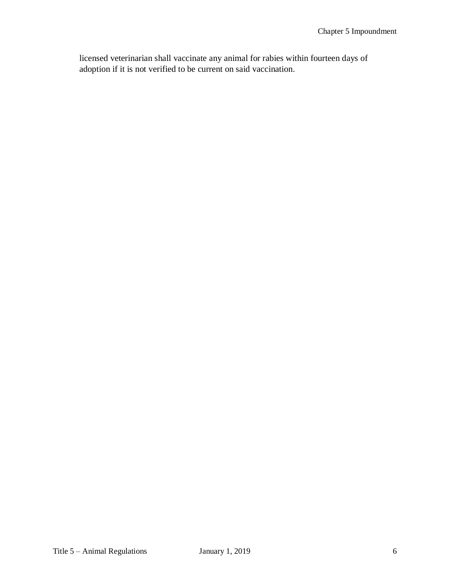licensed veterinarian shall vaccinate any animal for rabies within fourteen days of adoption if it is not verified to be current on said vaccination.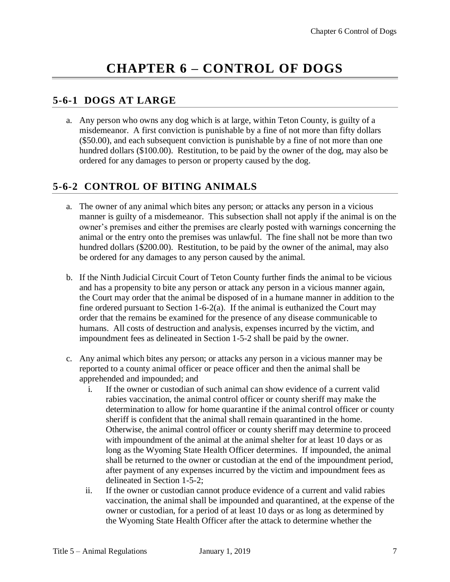## **CHAPTER 6 – CONTROL OF DOGS**

#### **5-6-1 DOGS AT LARGE**

a. Any person who owns any dog which is at large, within Teton County, is guilty of a misdemeanor. A first conviction is punishable by a fine of not more than fifty dollars (\$50.00), and each subsequent conviction is punishable by a fine of not more than one hundred dollars (\$100.00). Restitution, to be paid by the owner of the dog, may also be ordered for any damages to person or property caused by the dog.

#### **5-6-2 CONTROL OF BITING ANIMALS**

- a. The owner of any animal which bites any person; or attacks any person in a vicious manner is guilty of a misdemeanor. This subsection shall not apply if the animal is on the owner's premises and either the premises are clearly posted with warnings concerning the animal or the entry onto the premises was unlawful. The fine shall not be more than two hundred dollars (\$200.00). Restitution, to be paid by the owner of the animal, may also be ordered for any damages to any person caused by the animal.
- b. If the Ninth Judicial Circuit Court of Teton County further finds the animal to be vicious and has a propensity to bite any person or attack any person in a vicious manner again, the Court may order that the animal be disposed of in a humane manner in addition to the fine ordered pursuant to Section 1-6-2(a). If the animal is euthanized the Court may order that the remains be examined for the presence of any disease communicable to humans. All costs of destruction and analysis, expenses incurred by the victim, and impoundment fees as delineated in Section 1-5-2 shall be paid by the owner.
- c. Any animal which bites any person; or attacks any person in a vicious manner may be reported to a county animal officer or peace officer and then the animal shall be apprehended and impounded; and
	- i. If the owner or custodian of such animal can show evidence of a current valid rabies vaccination, the animal control officer or county sheriff may make the determination to allow for home quarantine if the animal control officer or county sheriff is confident that the animal shall remain quarantined in the home. Otherwise, the animal control officer or county sheriff may determine to proceed with impoundment of the animal at the animal shelter for at least 10 days or as long as the Wyoming State Health Officer determines. If impounded, the animal shall be returned to the owner or custodian at the end of the impoundment period, after payment of any expenses incurred by the victim and impoundment fees as delineated in Section 1-5-2;
	- ii. If the owner or custodian cannot produce evidence of a current and valid rabies vaccination, the animal shall be impounded and quarantined, at the expense of the owner or custodian, for a period of at least 10 days or as long as determined by the Wyoming State Health Officer after the attack to determine whether the